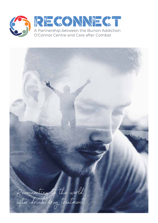

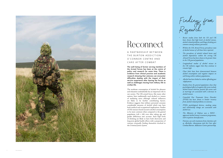**The well-being of former serving members of the Armed Forces has been at the centre of policy and research for some time. There is evidence from clinical practice and academic research showing that veterans can encounter difficulties dealing with the impact of their service experience after leaving the forces as well as challenges moving from military life to civilian life.** 

The moderate consumption of alcohol for pleasure and relaxation undoubtedly has an important role in our society. The UK armed forces, like many other nations, have traditionally used alcohol as a means of mediating stress although cultural influences are likely to be further contributing factors. Evidence suggests that military personnel consume considerable amounts of alcohol which may have both medical and occupational implications. Studies of UK veterans found excessive alcohol consumption to be more common when compared to the general population (13% v 6%) even after taking age and gender differences into account. Such high levels of drinking are likely to have both short-term and long-term global health effects with a proportion of veterans eventually finding themselves involved in the *Criminal Justice System.*

Findings from

- $\cdot$  **Recent studies from both the US and UK** *have shown that high levels of alcohol misuse, alcohol related problems and binge drinking are common among military personnel.*
- *Within the UK Armed Force, prevalence rate of alcohol misuse of 13% have been reported.*
- *The prevalence of alcohol related harm and alcohol dependence within the serving UK Armed Force ha been shown to be greater than in the UK general population.*
- *Longitudinal studie of alcohol misuse in the UK military sugest that they continue to remain high.*
- *Clear links have been demonstrated between alcohol consumption and negative impacts on well-being within military populations.*
- *Alcohol ha been linked to violent ofending post -deployment.*
- *Studie from the general population show that psychological efects of negative life events include alcohol misuse wherea, positive life events such a marriage are associated with a decrease in alcohol misuse.*
- *Comorbid Post Traumatic Stress Disorder (PTSD) ha been shown to hinder recovery from alcohol related problems in veterans.*
- PTSD, psychological distress, smoking status *and relationship change are associated with alcohol use.*
- *The Ministry of Defence use a NICE approved alcohol misuse treatment programme, with in-patient detoxifcation.*
- *Veterans can seek treatment from charitie such*  as Alcoholics Anonymous and the Care after *Combat/Burton Addiction Centre partnership.*

A PARTNERSHIP BETWEEN THE BURTON ADDICTION O'CONNOR CENTRE AND CARE AFTER COMBAT



# Reconnect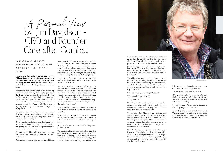impressed, they want people to think they are a better person than they actually are. They have been dealt a bad hand. They will go to extraordinary lengths to put on that mask and show the world that they are a good and proper person and better than anyone else in the room. They have done more and they know more, about everything. I studied Nuclear fission for a while…well, you never know… However, bullsh\*t takes its toll.

The addictive personality is quite happy to lead a life that is false. He is happy to be a liar. Deep inside he puts on a brave face and fights desperately with denial, the alcoholics' best friend. When confronted with the caring question "do you think it's time to get help?" he replies…

"I'm fine, I'm just going through a bad patch"

"I don't drink during the week"

"I only drink beer"

He will then distance himself from the question asker and seek solace with his fellow drinkers… or in extremes will perform a "Geographical" and move away… to start the rollercoaster again.

### IN 1993 | WAS DRAGGED S C R E A M I N G A N D C R Y I N G I N T O A DRINKS REHABILITATION CLINIC.

The comedian Dave Allen was great raconteur, and as well as ridiculing religion, he set out to make the drunk a lovable person, especially to other drunks. He once performed a poem "there is love between sister and brother… there is love between a son and a mother…. but there's no love that can compare, with one drunken sod and another."

Does this have something to do with a feeling of belonging. The alcoholic tends to seek out other alcoholics in an attempt to normalise his life. To get that *okay* that he seeks, to be told he is a good bloke, to *not* be judged, to not be given stupid advice by people who do not understand.

It is this feeling of belonging that can help to controlling one's addictive personality.

The American AA founder, Bill W said:

A *Personal View*<br>by Jim Davidson -CEO and Founder Care after Combat

*"We came to realise we were powerless over alcohol, we sought out other alcoholics. We came*  to realise that power greater than ourselves was the *only thing that can help."*

Bill and his team of fellow drunks formulated the 12 -step programme to recovery.

Rarely do people fail who stick to its concepts. There are some poor souls that cannot, for no real reason, except the 12 -step programme and their journey is a rocky and lonely road.

**I was in a terrible state, I had not been eating, I'd been living on white wine and cognac. My business was suffering, my marriage was breaking up and although not completely at rock bottom I was feeling rotten and needed help.**

The problem with *my* drinking is that it never really stopped me from working. It was the hangovers that did. If they could just stop the hangovers, I would be fine. But to use the old Alcoholics Anonymous cliché I was feeling sick and tired of being sick and tired. Basically alcohol was taking more away from me than it was adding. Consequently, I had to top up regularly. Something had to give way. My legs....and nearly my life!

I used to use alcohol as medicine; to wake up, to go to sleep, to get onstage, to get offstage, for sex, to avoid sex, in fact, you name it, alcohol help me achieve it or escape it! That has changed.

When I was in the clinic, my son Charlie asked his mother if I had died? No. My life hadn't ended; I was getting my life *back*. Now this partnership will provide others with a chance.

All addictions are like a rollercoaster ride, once they start they are difficult to get off, and, you can't steer a rollercoaster.

Addictions are a physical, spiritual and mental illness.

JIM DAVIDSON OBE

Some say that is all about genetics, one is born with the condition. I believe that. I don't think you become an alcoholic for drinking too much, or too often. How many times have we heard someone say, "he drank so much she became an alcoholic" The real answer is for the experts, but I had all the signs at 8 years of age. Not the drinking of course, but all the symptoms.

Dr, I think I'm going deaf. What are the symptoms? They are little yellow cartoon people aren't they?

Alcohol is one of the symptoms of addiction. It is where the addict turns to find a solution to his main problem. He/she is one of the few people that have an addictive personality. These people cannot control the desire for instant gratification. The get rich quick fix. The gambler, the heroin addict, the sex addict. These poor souls demand instant results in an attempt to achieve what they believe is their God-given right. "I want it… I want it *now* "

Loan and HP companies must love alkies, trust me on that one. Hedonism is a word that was made for the addict.

Here's another expression. "His life went downhill and he turned to drink". Is this alcoholism? Probably not, just an attempt at self-medication. Or a cry for help,

"Poor me, Poor me… pour me a drink" or "help me or I'll drink at you"

The alcoholic/addict is indeed a special person. One of anything is not enough. They strive to achieve, they seek knowledge. Why? Probably because they want to show off with that knowledge, they want people to like them, they want people to be

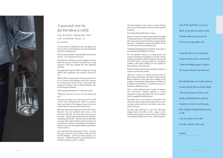Out of the night that covers me, Black as the pit from pole to pole, I thank whatever gods may be For my unconquerable soul.

In the fell clutch of circumstance I have not winced nor cried aloud Under the bludgeoning of chance My head is bloody, but unbowed.

Beyond this place of wrath and tears Looms but the Horror of the shade, And yet the menace of the years Finds and shall find me unafraid. It matters not how strait the gate, How charged with punishments the scroll, I am the master of my fate I am the captain of my soul.

#### **Invictus**

William Ernest Henley, 1849 - 1903

#### ALCOHOL

To them there is nothing finer then standing at the bar in a pub, or in the Sergeants mess, knocking back the pints and telling tales.

This of course is perfect for the alcoholic as he has lots of tales… *some* of them are even true.

The Ministry of Defence are quite rightly concerned about the amount of alcohol consumed by serving personnel. They have changed the rules regarding drinking.

We applaud the steps the MoD is taking, but serving soldiers have regulations and controls, veterans do not.

Why do all Servicemen's clubs centre around a bar? Is it a re- creation of the Sergeants mess? Sure, veterans love being around other veterans. They prefer the company of someone who are shared adversity, who has shared great triumphs.

The German philosopher Von Clausewitz stated:

*"Only those who have seen war can truly understand war…"*

The point he makes is true, but one must be careful of the veteran dismissing the civilian as someone that is not worthy of his company because he has not suffered like the veteran and his brothers have.

When the veteran looks back on his life in the Army/ Navy/Air Force he attributes those times as the best days of his life. Of course they were, he was at his prime. He had achieved greatness; he had done something with his life. However, he was told when to get up, when to go to bed, he was fed, watered, and no matter how much he moaned about the Sergeant Major he knew that the Sergeant Major would always be there for him.

If you take that away, reality starts to set in… you can't fire a gun any more, you can't drive a tank, you can't fix that Tornado… you have no role or purpose….no relevance… "What's the point?" you have become one of *them*!!! what you *can* do… is drink.

The determination of the veteran to bond with his peers is a powerful weapon and can be used to provide treatment.

I'm talking about his Brothers in Arms.

Many servicemen have said to me that they do not fight for King and country. They fight for their friends, for their troop, for their patrol, for their company, for the battalion… the Regiment. This is their family. This is also who they share their problems with.

A feeling of belonging for the alcoholic, is the same as the camaraderie for Brothers In Arms.

For the alcoholic veteran, or serving person, the concept of sharing one's problems is one that is pretty simple to grasp, the trouble being that the veteran and the soldier needs to trust the people he is sharing his problems with and be willing to be the recipient of their problems. This takes time

We do not believe that veterans should be treated in a separate manner than civilians.

After all, a veteran is a civilian, and the sooner he gets used to it the better. Care after Combat and the Burton Addiction Clinic have been working on the problem of the alcoholic/addicted former members of her Majesty's Armed Forces... and the best answer was the Burton Addiction Centre.

The 12 -week residential course consists of veterans and non-veterans working together to restore themselves to sanity and prepare for a life of sobriety that is manageable and has purpose.

Specialised one to one treatment is provided to the veteran by experts and group meetings where veterans can share stories that look to the future, rather than dwell on the past.

To grow some self-worth, to get that self-esteem swagger back, to live life, to turn a page, to move forward and take ground and not waste time seeking something that really, was never lost... One's relevance.



## A personal view by Jim Davidson (cont'd)

THE BIGGEST PROBLEM THAT THE VETERAN FACES IS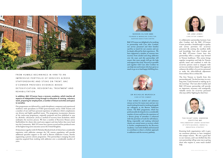BAC O'Connor are delighted to be working in partnership with Care after Combat; our service personnel and their families sacrifice so much for our country and can be deeply affected by their experiences. We have supported a number of veterans into recovery from alcohol and drug addiction over the years and this partnership will ensure that more people will get the help and support they need. Recovery is possible and together with Care after Combat we can help men and women who have given so much to go on to lead happy fulfilling lives.





FROM HUMBLE BEGINNINGS IN 1998 TO AN IMPRESSIVE PORTFOLIO OF SERVICES ACROSS STAFFORDSHIRE AND STOKE ON TRENT, BAC O'CONNOR PROVIDES EVIDENCE-BASED D E TO X I FI CATION. RESIDENTIAL TREATMENT AND REHABILITATION.

**In addition, BAC O'Connor have a recovery academy, which teaches all aspects of independent living through to education & training, voluntary work, preparing for employment, a number of leisure activities and space to socialise.**

Our programmes are delivered by a multi-disciplinary competent and experienced workforce with specialisms in PTSD (post-traumatic stress), Child Trauma and a number of our staff have personal experience of addiction which complements our diverse and highly qualified teams. The programme incorporates elements of the twelve-step programme, originally proposed and first published in 1939 by *Alcoholics Anonymous (AA)* as a method of recovery from alcoholism, which underpins the recovery process. We have a number of Recovery Houses across Staffordshire for clients who need extra support and time before they move back into the Community. BAC O'Connor has a proven record and has produced some of the highest long-term outcomes across the United Kingdom.

Dr Jane Jones together with Dr Nicholas Murdoch both of whom have considerable experience with addiction amongst the UK veteran population will provide additional specialist support to the staff at Burton Addiction Centre, thereby augmenting a proven eclectic programme. This partnership is merging the joint expertise acquired from working with addiction over a considerable number of years.



THE RIGHT HON. ANDREW GRIFFITHS MP PARLIAMENTARY UNDER-SECRETARY OF STATE BUSINESS, ENERGY & INDUSTRIAL STRATEGY

NOREEN OLIVER MBE FOUNDER & MANAGING DIRECTOR. BURTON ADDICTION CENTRE

I have worked in alcohol and substance misuse services for many years and am very much looking forward to working alongside my colleagues at the Burton Addiction Centre. The BAC programme, which has professionally developed over a considerable number of years and from the experience of a diverse group of attendees is enhanced with the provision of tools for self-reliance. Being responsible and making informed choices are central tenets to recovery which is further complemented by the Recovery Academy. I am both thrilled and honoured to contribute to what is a holistic approach to addiction and the recovery pathway.

#### DR NICHOLAS MURDOCH CARE AFTER COMBAT

A collaborative partnership between Care after Combat and the BAC O'Connor Centre provides a breakthrough in quality and service provision for ex-service personnel. By uniting the excellent skills and knowledge Care after Combat and the BAC O'Connor Centre have this partnership offers a unique step forward in Veteran healthcare. This union brings together recognition and help for Veteran specific issues and combines it with the ex-service persons need to integrate with services not military related. This approach enhances the ability of ex-service personnel to make the often-difficult adjustment from military life to civilian life.

The first Veteran to benefit from this partnership said, "for the first time, in a very long time, I look forward to waking up in the morning". The Care after Combat and BAC O'Connor partnership will provide an important, necessary and strategically valuable service for ex-service personnel who may still be 'fighting for their lives'.





DR JANE JONES CARE AFTER COMBAT

Knowing both organisations well, it gave me enormous pleasure to have instigated this unique venture. We owe a great deal to our veterans, and I am thrilled that this new partnership will go some way to giving those who require it, some much needed help.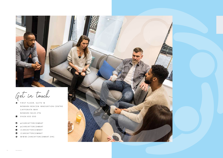

Get in touch

- NEWARK BEACON INNOVATION CENTRE CAFFERATA WAY NEWARK NG24 2TN
- ' 01636 653 050
- 
- 
- 
- 
-